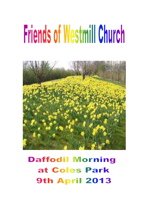# **Friends of Westmill Church**



**Daffodil Morning** at Coles Park **9th April 2013**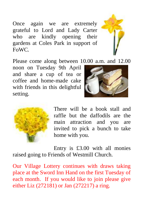Once again we are extremely grateful to Lord and Lady Carter who are kindly opening their gardens at Coles Park in support of FoWC.



Please come along between 10.00 a.m. and 12.00

noon on Tuesday 9th April and share a cup of tea or coffee and home-made cake with friends in this delightful setting.





There will be a book stall and raffle but the daffodils are the main attraction and you are invited to pick a bunch to take home with you.

Entry is £3.00 with all monies raised going to Friends of Westmill Church.

Our Village Lottery continues with draws taking place at the Sword Inn Hand on the first Tuesday of each month. If you would like to join please give either Liz (272181) or Jan (272217) a ring.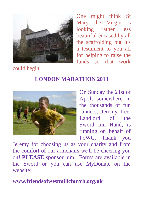

One might think St Mary the Virgin is looking rather less beautiful encased by all the scaffolding but it's a testament to you all for helping to raise the funds so that work

could begin.

# **LONDON MARATHON 2013**



On Sunday the 21st of April, somewhere in the thousands of fun runners, Jeremy Lee, Landlord of the Sword Inn Hand, is running on behalf of FoWC. Thank you

Jeremy for choosing us as your charity and from the comfort of our armchairs we'll be cheering you on! **PLEASE** sponsor him. Forms are available in the Sword or you can use MyDonate on the website:

**www.friendsofwestmillchurch.org.uk**